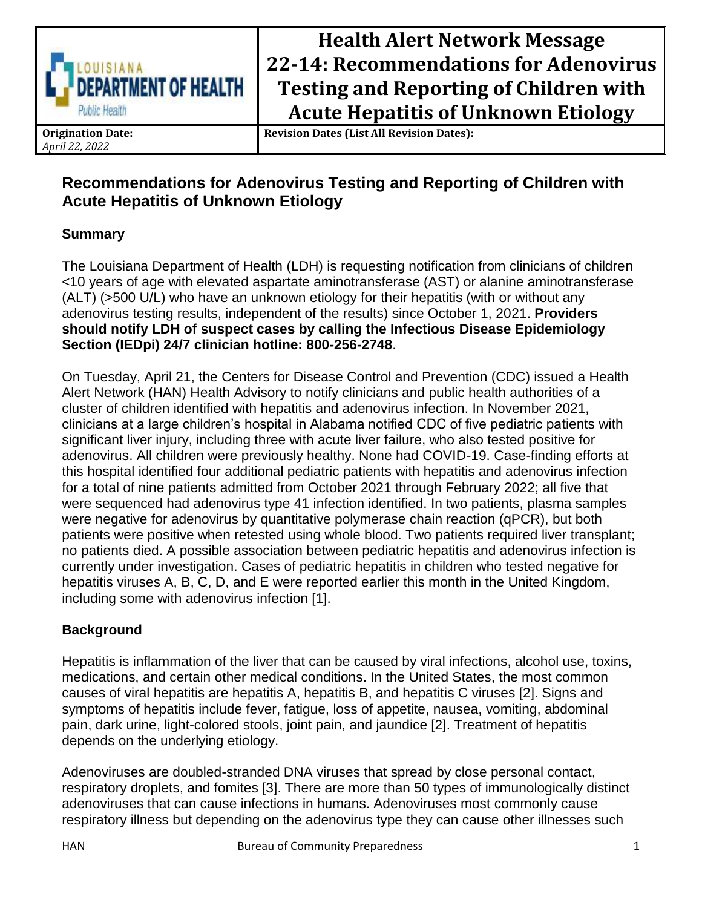

# **Health Alert Network Message 22-14: Recommendations for Adenovirus Testing and Reporting of Children with Acute Hepatitis of Unknown Etiology**

**Origination Date:** *April 22, 2022*

**Revision Dates (List All Revision Dates):**

## **Recommendations for Adenovirus Testing and Reporting of Children with Acute Hepatitis of Unknown Etiology**

## **Summary**

The Louisiana Department of Health (LDH) is requesting notification from clinicians of children <10 years of age with elevated aspartate aminotransferase (AST) or alanine aminotransferase (ALT) (>500 U/L) who have an unknown etiology for their hepatitis (with or without any adenovirus testing results, independent of the results) since October 1, 2021. **Providers should notify LDH of suspect cases by calling the Infectious Disease Epidemiology Section (IEDpi) 24/7 clinician hotline: 800-256-2748**.

On Tuesday, April 21, the Centers for Disease Control and Prevention (CDC) issued a Health Alert Network (HAN) Health Advisory to notify clinicians and public health authorities of a cluster of children identified with hepatitis and adenovirus infection. In November 2021, clinicians at a large children's hospital in Alabama notified CDC of five pediatric patients with significant liver injury, including three with acute liver failure, who also tested positive for adenovirus. All children were previously healthy. None had COVID-19. Case-finding efforts at this hospital identified four additional pediatric patients with hepatitis and adenovirus infection for a total of nine patients admitted from October 2021 through February 2022; all five that were sequenced had adenovirus type 41 infection identified. In two patients, plasma samples were negative for adenovirus by quantitative polymerase chain reaction (qPCR), but both patients were positive when retested using whole blood. Two patients required liver transplant; no patients died. A possible association between pediatric hepatitis and adenovirus infection is currently under investigation. Cases of pediatric hepatitis in children who tested negative for hepatitis viruses A, B, C, D, and E were reported earlier this month in the United Kingdom, including some with adenovirus infection [1].

## **Background**

Hepatitis is inflammation of the liver that can be caused by viral infections, alcohol use, toxins, medications, and certain other medical conditions. In the United States, the most common causes of viral hepatitis are hepatitis A, hepatitis B, and hepatitis C viruses [2]. Signs and symptoms of hepatitis include fever, fatigue, loss of appetite, nausea, vomiting, abdominal pain, dark urine, light-colored stools, joint pain, and jaundice [2]. Treatment of hepatitis depends on the underlying etiology.

Adenoviruses are doubled-stranded DNA viruses that spread by close personal contact, respiratory droplets, and fomites [3]. There are more than 50 types of immunologically distinct adenoviruses that can cause infections in humans. Adenoviruses most commonly cause respiratory illness but depending on the adenovirus type they can cause other illnesses such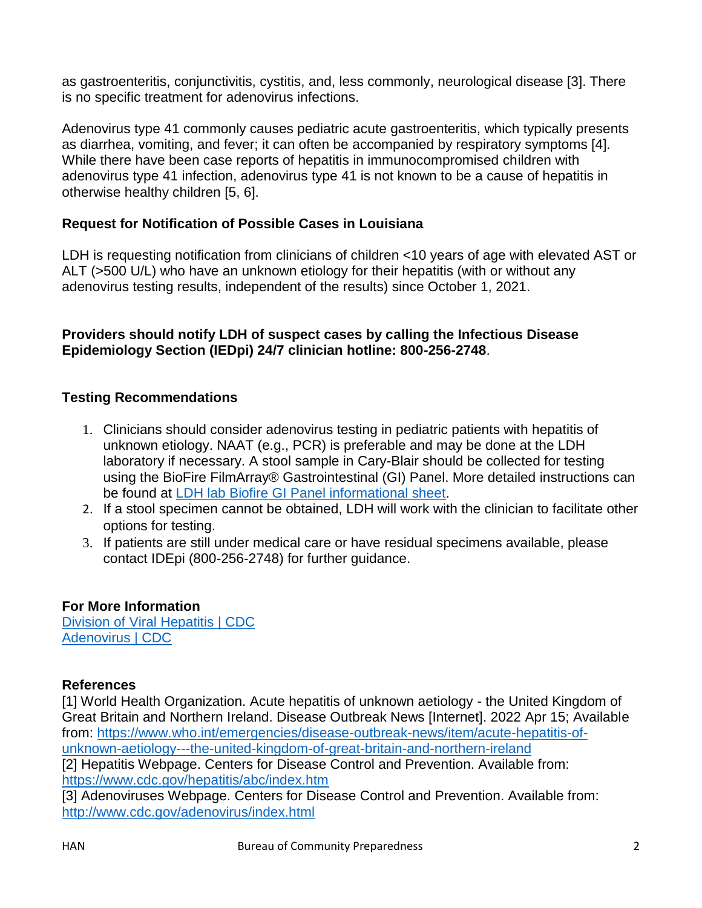as gastroenteritis, conjunctivitis, cystitis, and, less commonly, neurological disease [3]. There is no specific treatment for adenovirus infections.

Adenovirus type 41 commonly causes pediatric acute gastroenteritis, which typically presents as diarrhea, vomiting, and fever; it can often be accompanied by respiratory symptoms [4]. While there have been case reports of hepatitis in immunocompromised children with adenovirus type 41 infection, adenovirus type 41 is not known to be a cause of hepatitis in otherwise healthy children [5, 6].

### **Request for Notification of Possible Cases in Louisiana**

LDH is requesting notification from clinicians of children <10 years of age with elevated AST or ALT (>500 U/L) who have an unknown etiology for their hepatitis (with or without any adenovirus testing results, independent of the results) since October 1, 2021.

#### **Providers should notify LDH of suspect cases by calling the Infectious Disease Epidemiology Section (IEDpi) 24/7 clinician hotline: 800-256-2748**.

#### **Testing Recommendations**

- 1. Clinicians should consider adenovirus testing in pediatric patients with hepatitis of unknown etiology. NAAT (e.g., PCR) is preferable and may be done at the LDH laboratory if necessary. A stool sample in Cary-Blair should be collected for testing using the BioFire FilmArray® Gastrointestinal (GI) Panel. More detailed instructions can be found at [LDH lab Biofire GI Panel informational sheet.](https://ldh.la.gov/assets/oph/Center-PHCH/Center-CH/lab/ClientServicesManual/MBV/BioFireGI1051618.pdf)
- 2. If a stool specimen cannot be obtained, LDH will work with the clinician to facilitate other options for testing.
- 3. If patients are still under medical care or have residual specimens available, please contact IDEpi (800-256-2748) for further guidance.

#### **For More Information**

[Division of Viral Hepatitis | CDC](https://urldefense.proofpoint.com/v2/url?u=https-3A__www.cdc.gov_hepatitis_index.htm&d=DwMFAg&c=xlPCXuHzMdaH2Flc1sgyicYpGQbQbU9KDEmgNF3_wI0&r=oP7GfOGDGB2Pt_iyAHFVVgP46VFyRoL95ywpvIGWWug&m=qUBXLf-hXD4kPXQ6aqMFPCKmUAgvEV9EiIrXVmaVEmo&s=JV9WKZ8A3RM6rm-b-aG_bK-jV87cCJD_ZnMWApxBA6c&e=) [Adenovirus | CDC](https://urldefense.proofpoint.com/v2/url?u=https-3A__www.cdc.gov_adenovirus_index.html&d=DwMFAg&c=xlPCXuHzMdaH2Flc1sgyicYpGQbQbU9KDEmgNF3_wI0&r=oP7GfOGDGB2Pt_iyAHFVVgP46VFyRoL95ywpvIGWWug&m=qUBXLf-hXD4kPXQ6aqMFPCKmUAgvEV9EiIrXVmaVEmo&s=xjZiIx0c8HYZq6RX3MIsAbwvtYhmoKHvO2-qGkqhq4w&e=)

#### **References**

[1] World Health Organization. Acute hepatitis of unknown aetiology - the United Kingdom of Great Britain and Northern Ireland. Disease Outbreak News [Internet]. 2022 Apr 15; Available from: [https://www.who.int/emergencies/disease-outbreak-news/item/acute-hepatitis-of](https://urldefense.proofpoint.com/v2/url?u=https-3A__www.who.int_emergencies_disease-2Doutbreak-2Dnews_item_acute-2Dhepatitis-2Dof-2Dunknown-2Daetiology-2D-2D-2Dthe-2Dunited-2Dkingdom-2Dof-2Dgreat-2Dbritain-2Dand-2Dnorthern-2Direland&d=DwMFAg&c=xlPCXuHzMdaH2Flc1sgyicYpGQbQbU9KDEmgNF3_wI0&r=oP7GfOGDGB2Pt_iyAHFVVgP46VFyRoL95ywpvIGWWug&m=qUBXLf-hXD4kPXQ6aqMFPCKmUAgvEV9EiIrXVmaVEmo&s=6X2tz0JlEALyRbU0q92_uUUWJSUK7VMCDmernqCrvTU&e=)[unknown-aetiology---the-united-kingdom-of-great-britain-and-northern-ireland](https://urldefense.proofpoint.com/v2/url?u=https-3A__www.who.int_emergencies_disease-2Doutbreak-2Dnews_item_acute-2Dhepatitis-2Dof-2Dunknown-2Daetiology-2D-2D-2Dthe-2Dunited-2Dkingdom-2Dof-2Dgreat-2Dbritain-2Dand-2Dnorthern-2Direland&d=DwMFAg&c=xlPCXuHzMdaH2Flc1sgyicYpGQbQbU9KDEmgNF3_wI0&r=oP7GfOGDGB2Pt_iyAHFVVgP46VFyRoL95ywpvIGWWug&m=qUBXLf-hXD4kPXQ6aqMFPCKmUAgvEV9EiIrXVmaVEmo&s=6X2tz0JlEALyRbU0q92_uUUWJSUK7VMCDmernqCrvTU&e=) [2] Hepatitis Webpage. Centers for Disease Control and Prevention. Available from: [https://www.cdc.gov/hepatitis/abc/index.htm](https://urldefense.proofpoint.com/v2/url?u=https-3A__www.cdc.gov_hepatitis_abc_index.htm&d=DwMFAg&c=xlPCXuHzMdaH2Flc1sgyicYpGQbQbU9KDEmgNF3_wI0&r=oP7GfOGDGB2Pt_iyAHFVVgP46VFyRoL95ywpvIGWWug&m=qUBXLf-hXD4kPXQ6aqMFPCKmUAgvEV9EiIrXVmaVEmo&s=7HUlxUNnq_6dCU8LPWQ__o_bvGHMXZLi5HJy626auDg&e=) [3] Adenoviruses Webpage. Centers for Disease Control and Prevention. Available from: [http://www.cdc.gov/adenovirus/index.html](https://urldefense.proofpoint.com/v2/url?u=http-3A__www.cdc.gov_adenovirus_index.html&d=DwMFAg&c=xlPCXuHzMdaH2Flc1sgyicYpGQbQbU9KDEmgNF3_wI0&r=oP7GfOGDGB2Pt_iyAHFVVgP46VFyRoL95ywpvIGWWug&m=qUBXLf-hXD4kPXQ6aqMFPCKmUAgvEV9EiIrXVmaVEmo&s=GUfPgy7QYprC3WKViI5f_5mebKGGp_jRO3b98A_ywgg&e=)